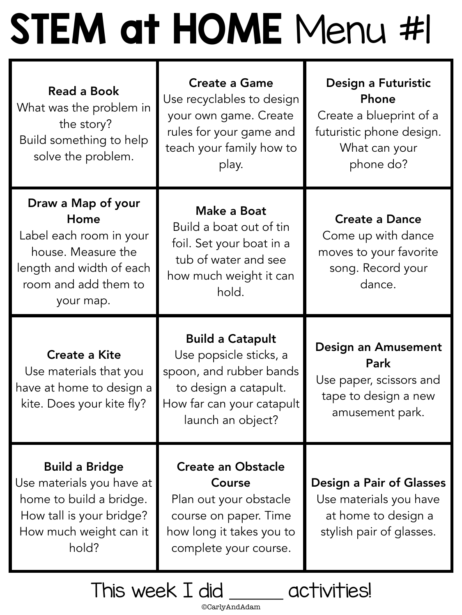# STEM at HOME Menu #1

| Read a Book<br>What was the problem in<br>the story?<br>Build something to help<br>solve the problem.                                        | <b>Create a Game</b><br>Use recyclables to design<br>your own game. Create<br>rules for your game and<br>teach your family how to<br>play.              | Design a Futuristic<br>Phone<br>Create a blueprint of a<br>futuristic phone design.<br>What can your<br>phone do? |
|----------------------------------------------------------------------------------------------------------------------------------------------|---------------------------------------------------------------------------------------------------------------------------------------------------------|-------------------------------------------------------------------------------------------------------------------|
| Draw a Map of your<br>Home<br>Label each room in your<br>house. Measure the<br>length and width of each<br>room and add them to<br>your map. | <b>Make a Boat</b><br>Build a boat out of tin<br>foil. Set your boat in a<br>tub of water and see<br>how much weight it can<br>hold.                    | <b>Create a Dance</b><br>Come up with dance<br>moves to your favorite<br>song. Record your<br>dance.              |
| <b>Create a Kite</b><br>Use materials that you<br>have at home to design a<br>kite. Does your kite fly?                                      | <b>Build a Catapult</b><br>Use popsicle sticks, a<br>spoon, and rubber bands<br>to design a catapult.<br>How far can your catapult<br>launch an object? | <b>Design an Amusement</b><br><b>Park</b><br>Use paper, scissors and<br>tape to design a new<br>amusement park.   |
| <b>Build a Bridge</b><br>Use materials you have at<br>home to build a bridge.<br>How tall is your bridge?<br>How much weight can it<br>hold? | <b>Create an Obstacle</b><br><b>Course</b><br>Plan out your obstacle<br>course on paper. Time<br>how long it takes you to<br>complete your course.      | <b>Design a Pair of Glasses</b><br>Use materials you have<br>at home to design a<br>stylish pair of glasses.      |

©CarlyAndAdam

This week I did activities!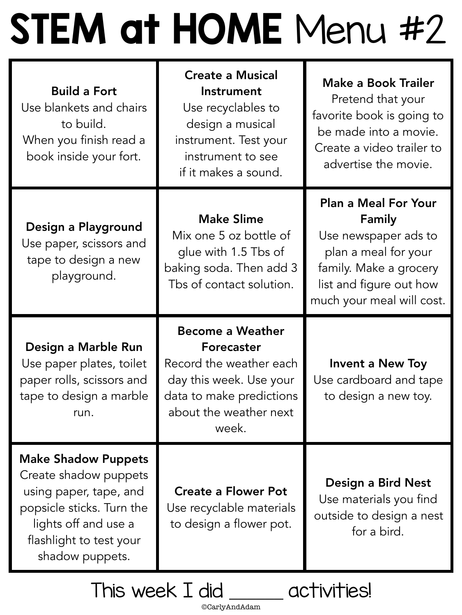# STEM at HOME Menu #2

| <b>Build a Fort</b><br>Use blankets and chairs<br>to build.<br>When you finish read a<br>book inside your fort. | <b>Create a Musical</b><br>Instrument<br>Use recyclables to<br>design a musical<br>instrument. Test your<br>instrument to see<br>if it makes a sound.      | <b>Make a Book Trailer</b><br>Pretend that your<br>favorite book is going to<br>be made into a movie.<br>Create a video trailer to<br>advertise the movie.              |
|-----------------------------------------------------------------------------------------------------------------|------------------------------------------------------------------------------------------------------------------------------------------------------------|-------------------------------------------------------------------------------------------------------------------------------------------------------------------------|
| Design a Playground<br>Use paper, scissors and<br>tape to design a new<br>playground.                           | <b>Make Slime</b><br>Mix one 5 oz bottle of<br>glue with 1.5 Tbs of<br>baking soda. Then add 3<br>Tbs of contact solution.                                 | <b>Plan a Meal For Your</b><br>Family<br>Use newspaper ads to<br>plan a meal for your<br>family. Make a grocery<br>list and figure out how<br>much your meal will cost. |
|                                                                                                                 |                                                                                                                                                            |                                                                                                                                                                         |
| Design a Marble Run<br>Use paper plates, toilet<br>paper rolls, scissors and<br>tape to design a marble<br>run. | <b>Become a Weather</b><br>Forecaster<br>Record the weather each<br>day this week. Use your<br>data to make predictions<br>about the weather next<br>week. | <b>Invent a New Toy</b><br>Use cardboard and tape<br>to design a new toy.                                                                                               |

©CarlyAndAdam

This week I did activities!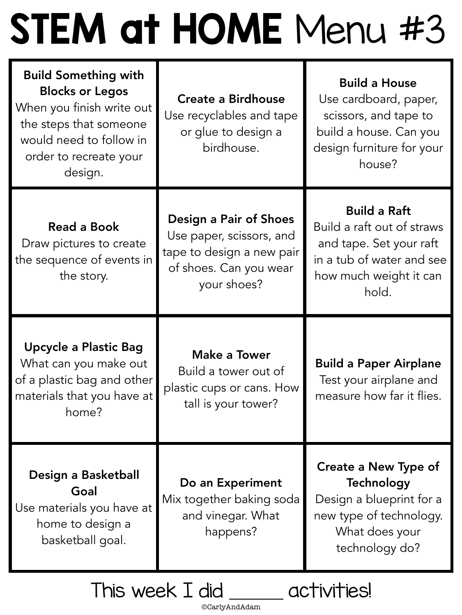## STEM at HOME Menu #3

| <b>Build Something with</b><br><b>Blocks or Legos</b><br>When you finish write out<br>the steps that someone<br>would need to follow in<br>order to recreate your<br>design. | <b>Create a Birdhouse</b><br>Use recyclables and tape<br>or glue to design a<br>birdhouse.                               | <b>Build a House</b><br>Use cardboard, paper,<br>scissors, and tape to<br>build a house. Can you<br>design furniture for your<br>house?      |  |
|------------------------------------------------------------------------------------------------------------------------------------------------------------------------------|--------------------------------------------------------------------------------------------------------------------------|----------------------------------------------------------------------------------------------------------------------------------------------|--|
| <b>Read a Book</b><br>Draw pictures to create<br>the sequence of events in<br>the story.                                                                                     | Design a Pair of Shoes<br>Use paper, scissors, and<br>tape to design a new pair<br>of shoes. Can you wear<br>your shoes? | <b>Build a Raft</b><br>Build a raft out of straws<br>and tape. Set your raft<br>in a tub of water and see<br>how much weight it can<br>hold. |  |
| <b>Upcycle a Plastic Bag</b><br>What can you make out<br>of a plastic bag and other<br>materials that you have at<br>home?                                                   | Make a Tower<br>Build a tower out of<br>plastic cups or cans. How<br>tall is your tower?                                 | <b>Build a Paper Airplane</b><br>Test your airplane and<br>measure how far it flies.                                                         |  |
| Design a Basketball<br>Goal<br>Use materials you have at<br>home to design a<br>basketball goal.                                                                             | Do an Experiment<br>Mix together baking soda<br>and vinegar. What<br>happens?                                            | <b>Create a New Type of</b><br><b>Technology</b><br>Design a blueprint for a<br>new type of technology.<br>What does your<br>technology do?  |  |
| his weel                                                                                                                                                                     |                                                                                                                          |                                                                                                                                              |  |

©CarlyAndAdam